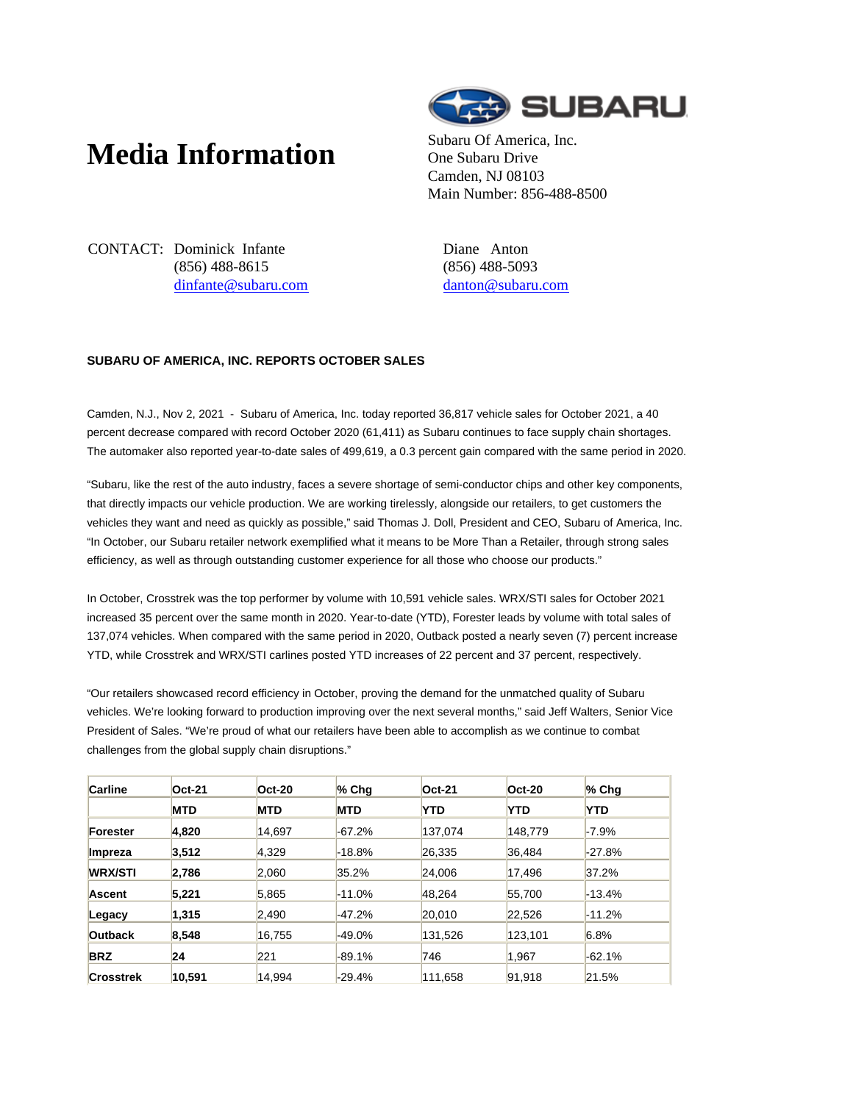## **Media Information** Subaru Of America, Inc.



One Subaru Drive Camden, NJ 08103 Main Number: 856-488-8500

CONTACT: Dominick Infante (856) 488-8615 dinfante@subaru.com Diane Anton (856) 488-5093 danton@subaru.com

## **SUBARU OF AMERICA, INC. REPORTS OCTOBER SALES**

Camden, N.J., Nov 2, 2021 - Subaru of America, Inc. today reported 36,817 vehicle sales for October 2021, a 40 percent decrease compared with record October 2020 (61,411) as Subaru continues to face supply chain shortages. The automaker also reported year-to-date sales of 499,619, a 0.3 percent gain compared with the same period in 2020.

"Subaru, like the rest of the auto industry, faces a severe shortage of semi-conductor chips and other key components, that directly impacts our vehicle production. We are working tirelessly, alongside our retailers, to get customers the vehicles they want and need as quickly as possible," said Thomas J. Doll, President and CEO, Subaru of America, Inc. "In October, our Subaru retailer network exemplified what it means to be More Than a Retailer, through strong sales efficiency, as well as through outstanding customer experience for all those who choose our products."

In October, Crosstrek was the top performer by volume with 10,591 vehicle sales. WRX/STI sales for October 2021 increased 35 percent over the same month in 2020. Year-to-date (YTD), Forester leads by volume with total sales of 137,074 vehicles. When compared with the same period in 2020, Outback posted a nearly seven (7) percent increase YTD, while Crosstrek and WRX/STI carlines posted YTD increases of 22 percent and 37 percent, respectively.

"Our retailers showcased record efficiency in October, proving the demand for the unmatched quality of Subaru vehicles. We're looking forward to production improving over the next several months," said Jeff Walters, Senior Vice President of Sales. "We're proud of what our retailers have been able to accomplish as we continue to combat challenges from the global supply chain disruptions."

| <b>Carline</b>   | $Oct-21$   | $Oct-20$   | $%$ Chq    | $Oct-21$   | $Oct-20$   | $%$ Chq    |
|------------------|------------|------------|------------|------------|------------|------------|
|                  | <b>MTD</b> | <b>MTD</b> | <b>MTD</b> | <b>YTD</b> | <b>YTD</b> | <b>YTD</b> |
| Forester         | 4,820      | 14.697     | $-67.2%$   | 137.074    | 148.779    | $-7.9%$    |
| Impreza          | 3,512      | 4.329      | $-18.8%$   | 26.335     | 36.484     | $-27.8%$   |
| <b>WRX/STI</b>   | 2,786      | 2,060      | 35.2%      | 24.006     | 17.496     | 37.2%      |
| <b>Ascent</b>    | 5,221      | 5,865      | $-11.0%$   | 48.264     | 55.700     | $-13.4%$   |
| Legacy           | 1,315      | 2,490      | $-47.2%$   | 20.010     | 22.526     | $-11.2%$   |
| <b>Outback</b>   | 8,548      | 16.755     | $-49.0%$   | 131,526    | 123.101    | 6.8%       |
| <b>BRZ</b>       | 24         | 221        | $-89.1%$   | 746        | 1,967      | $-62.1%$   |
| <b>Crosstrek</b> | 10,591     | 14.994     | $-29.4%$   | 111.658    | 91.918     | 21.5%      |